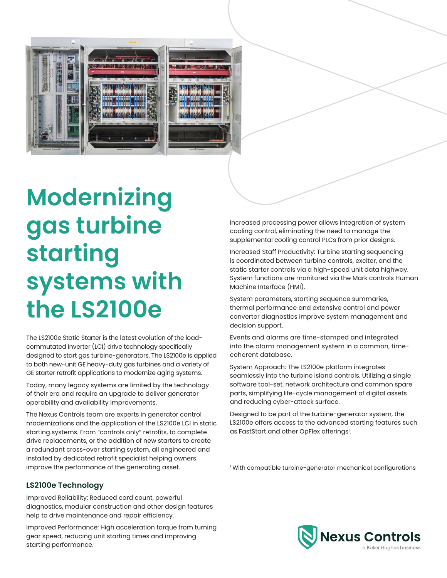

**Modernizing gas turbine starting systems with the LS2100e**

The LS2100e Static Starter is the latest evolution of the loadcommutated inverter (LCI) drive technology specifically designed to start gas turbine-generators. The LS2100e is applied to both new-unit GE heavy-duty gas turbines and a variety of GE starter retrofit applications to modernize aging systems.

Today, many legacy systems are limited by the technology of their era and require an upgrade to deliver generator operability and availability improvements.

The Nexus Controls team are experts in generator control modernizations and the application of the LS2100e LCI in static starting systems. From "controls only" retrofits, to complete drive replacements, or the addition of new starters to create a redundant cross-over starting system, all engineered and installed by dedicated retrofit specialist helping owners improve the performance of the generating asset.

Increased processing power allows integration of system cooling control, eliminating the need to manage the supplemental cooling control PLCs from prior designs.

Increased Staff Productivity: Turbine starting sequencing is coordinated between turbine controls, exciter, and the static starter controls via a high-speed unit data highway. System functions are monitored via the Mark controls Human Machine Interface (HMI).

System parameters, starting sequence summaries, thermal performance and extensive control and power converter diagnostics improve system management and decision support.

Events and alarms are time-stamped and integrated into the alarm management system in a common, timecoherent database.

System Approach: The LS2100e platform integrates seamlessly into the turbine island controls. Utilizing a single software tool-set, network architecture and common spare parts, simplifying life-cycle management of digital assets and reducing cyber-attack surface.

Designed to be part of the turbine-generator system, the LS2100e offers access to the advanced starting features such as FastStart and other OpFlex offerings<sup>1</sup>.

1 With compatible turbine-generator mechanical configurations

### **LS2100e Technology**

Improved Reliability: Reduced card count, powerful diagnostics, modular construction and other design features help to drive maintenance and repair efficiency.

Improved Performance: High acceleration torque from turning gear speed, reducing unit starting times and improving starting performance.